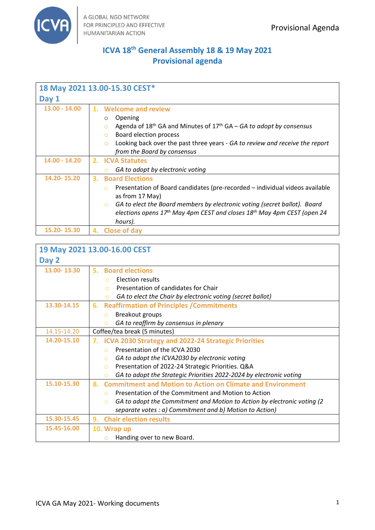

# **ICVA 18th General Assembly 18 & 19 May 2021 Provisional agenda**

| 18 May 2021 13.00-15.30 CEST* |                                                                                                                                                                                                                                                                                                                                                    |  |  |  |
|-------------------------------|----------------------------------------------------------------------------------------------------------------------------------------------------------------------------------------------------------------------------------------------------------------------------------------------------------------------------------------------------|--|--|--|
| Day 1                         |                                                                                                                                                                                                                                                                                                                                                    |  |  |  |
| $13.00 - 14.00$               | 1. Welcome and review<br>Opening<br>$\circ$<br>Agenda of $18th$ GA and Minutes of $17th$ GA – GA to adopt by consensus<br>$\circ$<br>Board election process<br>$\circ$<br>Looking back over the past three years - GA to review and receive the report<br>$\circ$<br>from the Board by consensus                                                   |  |  |  |
| 14.00 - 14.20                 | 2. ICVA Statutes<br>GA to adopt by electronic voting<br>$\circ$                                                                                                                                                                                                                                                                                    |  |  |  |
| 14.20-15.20                   | <b>Board Elections</b><br>3.<br>Presentation of Board candidates (pre-recorded – individual videos available<br>$\Omega$<br>as from 17 May)<br>GA to elect the Board members by electronic voting (secret ballot). Board<br>$\Omega$<br>elections opens 17 <sup>th</sup> May 4pm CEST and closes 18 <sup>th</sup> May 4pm CEST (open 24<br>hours). |  |  |  |
| 15.20-15.30                   | <b>Close of day</b><br>4.                                                                                                                                                                                                                                                                                                                          |  |  |  |

| 19 May 2021 13.00-16.00 CEST |                                                                                     |  |  |  |
|------------------------------|-------------------------------------------------------------------------------------|--|--|--|
| Day 2                        |                                                                                     |  |  |  |
| 13.00-13.30                  | <b>Board elections</b><br>5. .                                                      |  |  |  |
|                              | Election results<br>$\Omega$                                                        |  |  |  |
|                              | Presentation of candidates for Chair<br>$\Omega$                                    |  |  |  |
|                              | GA to elect the Chair by electronic voting (secret ballot)<br>$\circ$               |  |  |  |
| 13.30-14.15                  | <b>Reaffirmation of Principles / Commitments</b><br>6.                              |  |  |  |
|                              | Breakout groups<br>$\circ$                                                          |  |  |  |
|                              | GA to reaffirm by consensus in plenary<br>$\circ$                                   |  |  |  |
| 14.15-14.20                  | Coffee/tea break (5 minutes)                                                        |  |  |  |
| 14.20-15.10                  | <b>ICVA 2030 Strategy and 2022-24 Strategic Priorities</b><br>7.                    |  |  |  |
|                              | Presentation of the ICVA 2030<br>$\Omega$                                           |  |  |  |
|                              | GA to adopt the ICVA2030 by electronic voting<br>$\bigcirc$                         |  |  |  |
|                              | Presentation of 2022-24 Strategic Priorities. Q&A<br>$\circ$                        |  |  |  |
|                              | GA to adopt the Strategic Priorities 2022-2024 by electronic voting<br>$\circ$      |  |  |  |
| 15.10-15.30                  | <b>Commitment and Motion to Action on Climate and Environment</b><br>8.             |  |  |  |
|                              | Presentation of the Commitment and Motion to Action<br>$\bigcap$                    |  |  |  |
|                              | GA to adopt the Commitment and Motion to Action by electronic voting (2<br>$\Omega$ |  |  |  |
|                              | separate votes : a) Commitment and b) Motion to Action)                             |  |  |  |
| 15.30-15.45                  | <b>Chair election results</b><br>9.                                                 |  |  |  |
| 15.45-16.00                  | 10. Wrap up                                                                         |  |  |  |
|                              | Handing over to new Board.                                                          |  |  |  |